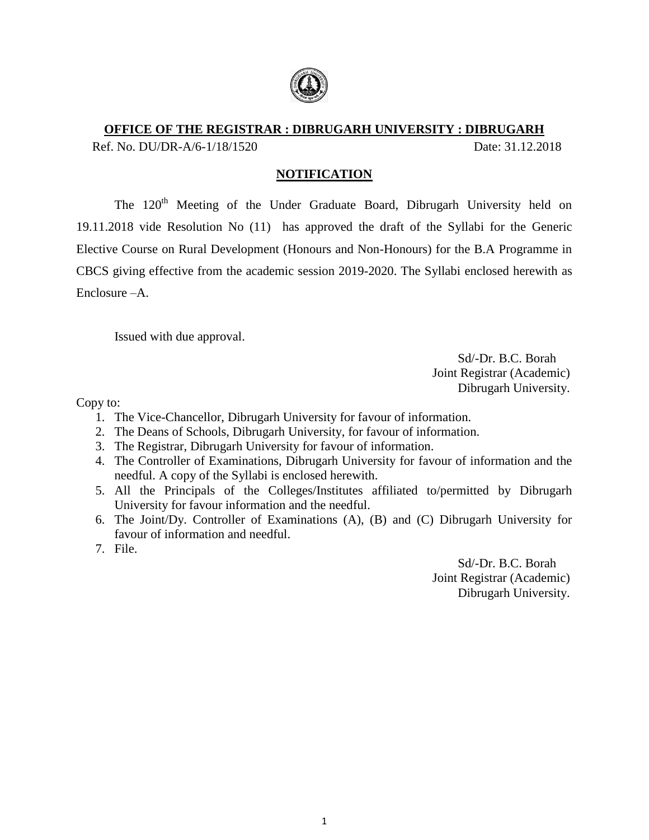

# **OFFICE OF THE REGISTRAR : DIBRUGARH UNIVERSITY : DIBRUGARH**

Ref. No. DU/DR-A/6-1/18/1520 Date: 31.12.2018

# **NOTIFICATION**

The 120<sup>th</sup> Meeting of the Under Graduate Board, Dibrugarh University held on 19.11.2018 vide Resolution No (11) has approved the draft of the Syllabi for the Generic Elective Course on Rural Development (Honours and Non-Honours) for the B.A Programme in CBCS giving effective from the academic session 2019-2020. The Syllabi enclosed herewith as Enclosure –A.

Issued with due approval.

 Sd/-Dr. B.C. Borah Joint Registrar (Academic) Dibrugarh University.

Copy to:

- 1. The Vice-Chancellor, Dibrugarh University for favour of information.
- 2. The Deans of Schools, Dibrugarh University, for favour of information.
- 3. The Registrar, Dibrugarh University for favour of information.
- 4. The Controller of Examinations, Dibrugarh University for favour of information and the needful. A copy of the Syllabi is enclosed herewith.
- 5. All the Principals of the Colleges/Institutes affiliated to/permitted by Dibrugarh University for favour information and the needful.
- 6. The Joint/Dy. Controller of Examinations (A), (B) and (C) Dibrugarh University for favour of information and needful.
- 7. File.

 Sd/-Dr. B.C. Borah Joint Registrar (Academic) Dibrugarh University.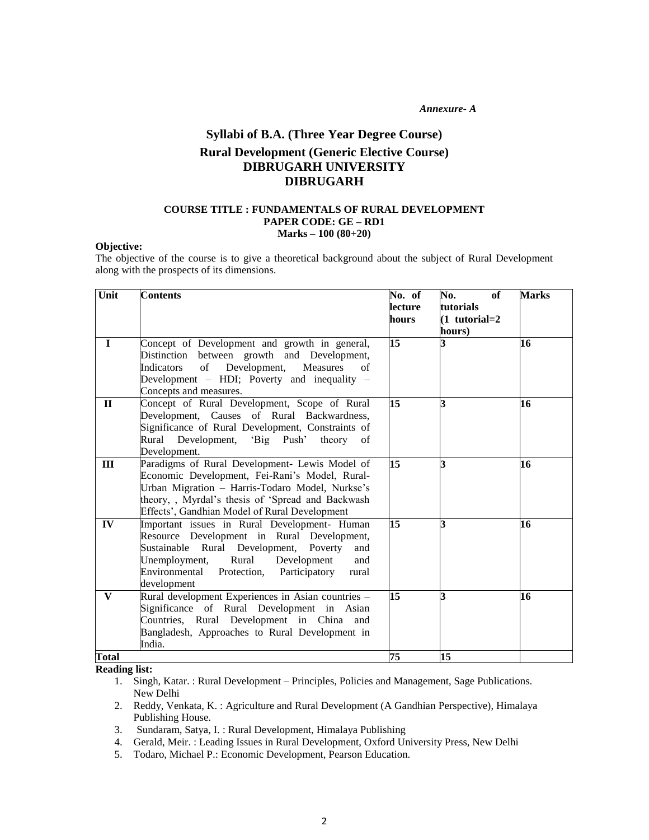*Annexure- A*

# **Syllabi of B.A. (Three Year Degree Course) Rural Development (Generic Elective Course) DIBRUGARH UNIVERSITY DIBRUGARH**

#### **COURSE TITLE : FUNDAMENTALS OF RURAL DEVELOPMENT PAPER CODE: GE – RD1 Marks – 100 (80+20)**

#### **Objective:**

The objective of the course is to give a theoretical background about the subject of Rural Development along with the prospects of its dimensions.

| Unit         | <b>Contents</b>                                                                                                                                                                                                                                                      | No. of<br>lecture<br>hours | No.<br>of<br>tutorials<br>$(1$ tutorial=2<br>hours) | <b>Marks</b> |
|--------------|----------------------------------------------------------------------------------------------------------------------------------------------------------------------------------------------------------------------------------------------------------------------|----------------------------|-----------------------------------------------------|--------------|
| $\mathbf{I}$ | Concept of Development and growth in general,<br>Distinction between growth and Development,<br>Development,<br>Measures<br>Indicators<br>of<br>of<br>Development - HDI; Poverty and inequality -<br>Concepts and measures.                                          | $\overline{15}$            |                                                     | 16           |
| $\mathbf{I}$ | Concept of Rural Development, Scope of Rural<br>Development, Causes of Rural Backwardness,<br>Significance of Rural Development, Constraints of<br>Rural Development, 'Big Push'<br>theory of<br>Development.                                                        | 15                         | R                                                   | 16           |
| Ш            | Paradigms of Rural Development- Lewis Model of<br>Economic Development, Fei-Rani's Model, Rural-<br>Urban Migration - Harris-Todaro Model, Nurkse's<br>theory, , Myrdal's thesis of 'Spread and Backwash<br>Effects', Gandhian Model of Rural Development            | 15                         | R                                                   | 16           |
| IV           | Important issues in Rural Development- Human<br>Resource Development in Rural Development,<br>Sustainable Rural Development, Poverty<br>and<br>Development<br>Rural<br>Unemployment,<br>and<br>Environmental<br>Protection,<br>Participatory<br>rural<br>development | 15                         | R                                                   | 16           |
| V            | Rural development Experiences in Asian countries -<br>Significance of Rural Development in Asian<br>Countries, Rural Development in China and<br>Bangladesh, Approaches to Rural Development in<br>India.                                                            | 15                         | R                                                   | 16           |
| <b>Total</b> |                                                                                                                                                                                                                                                                      | 75                         | 15                                                  |              |

- 1. Singh, Katar. : Rural Development Principles, Policies and Management, Sage Publications. New Delhi
- 2. Reddy, Venkata, K. : Agriculture and Rural Development (A Gandhian Perspective), Himalaya Publishing House.
- 3. Sundaram, Satya, I. : Rural Development, Himalaya Publishing
- 4. Gerald, Meir. : Leading Issues in Rural Development, Oxford University Press, New Delhi
- 5. Todaro, Michael P.: Economic Development, Pearson Education.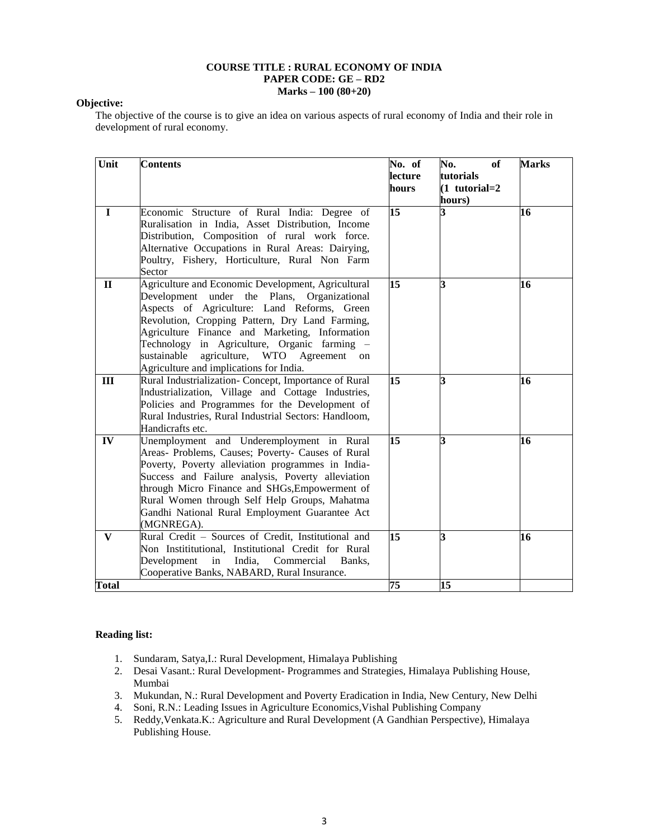#### **COURSE TITLE : RURAL ECONOMY OF INDIA PAPER CODE: GE – RD2 Marks – 100 (80+20)**

#### **Objective:**

The objective of the course is to give an idea on various aspects of rural economy of India and their role in development of rural economy.

| Unit         | <b>Contents</b>                                                                                                                                                                                                                                                                                                                                                                                        | No. of<br>lecture<br>hours | No.<br>of<br>tutorials<br>$(1$ tutorial=2<br>hours) | <b>Marks</b> |
|--------------|--------------------------------------------------------------------------------------------------------------------------------------------------------------------------------------------------------------------------------------------------------------------------------------------------------------------------------------------------------------------------------------------------------|----------------------------|-----------------------------------------------------|--------------|
| $\mathbf I$  | Economic Structure of Rural India: Degree of<br>Ruralisation in India, Asset Distribution, Income<br>Distribution, Composition of rural work force.<br>Alternative Occupations in Rural Areas: Dairying,<br>Poultry, Fishery, Horticulture, Rural Non Farm<br>Sector                                                                                                                                   | 15                         | 3                                                   | 16           |
| $\mathbf{I}$ | Agriculture and Economic Development, Agricultural<br>Development under the Plans, Organizational<br>Aspects of Agriculture: Land Reforms, Green<br>Revolution, Cropping Pattern, Dry Land Farming,<br>Agriculture Finance and Marketing, Information<br>Technology in Agriculture, Organic farming -<br>agriculture, WTO<br>sustainable<br>Agreement<br>on<br>Agriculture and implications for India. | $\overline{15}$            | 3                                                   | 16           |
| III          | Rural Industrialization- Concept, Importance of Rural<br>Industrialization, Village and Cottage Industries,<br>Policies and Programmes for the Development of<br>Rural Industries, Rural Industrial Sectors: Handloom,<br>Handicrafts etc.                                                                                                                                                             | 15                         | 3                                                   | 16           |
| IV           | Unemployment and Underemployment in Rural<br>Areas- Problems, Causes; Poverty- Causes of Rural<br>Poverty, Poverty alleviation programmes in India-<br>Success and Failure analysis, Poverty alleviation<br>through Micro Finance and SHGs, Empowerment of<br>Rural Women through Self Help Groups, Mahatma<br>Gandhi National Rural Employment Guarantee Act<br>(MGNREGA).                            | 15                         | 3                                                   | 16           |
| $\bf V$      | Rural Credit - Sources of Credit, Institutional and<br>Non Instititutional, Institutional Credit for Rural<br>Development<br>in<br>India,<br>Commercial<br>Banks,<br>Cooperative Banks, NABARD, Rural Insurance.                                                                                                                                                                                       | $\overline{15}$            | 3                                                   | 16           |
| <b>Total</b> |                                                                                                                                                                                                                                                                                                                                                                                                        | 75                         | 15                                                  |              |

- 1. Sundaram, Satya,I.: Rural Development, Himalaya Publishing
- 2. Desai Vasant.: Rural Development- Programmes and Strategies, Himalaya Publishing House, Mumbai
- 3. Mukundan, N.: Rural Development and Poverty Eradication in India, New Century, New Delhi
- 4. Soni, R.N.: Leading Issues in Agriculture Economics,Vishal Publishing Company
- 5. Reddy,Venkata.K.: Agriculture and Rural Development (A Gandhian Perspective), Himalaya Publishing House.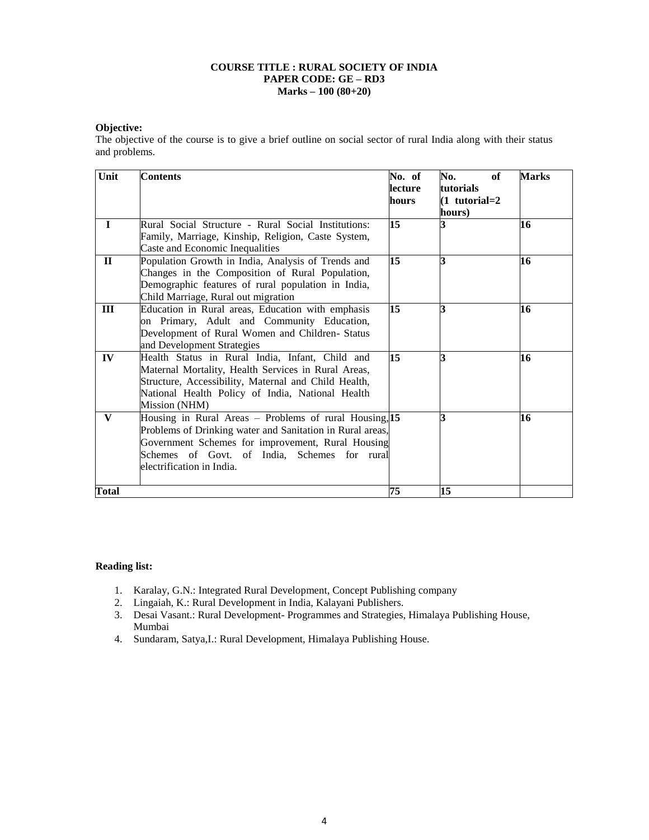#### **COURSE TITLE : RURAL SOCIETY OF INDIA PAPER CODE: GE – RD3 Marks – 100 (80+20)**

#### **Objective:**

The objective of the course is to give a brief outline on social sector of rural India along with their status and problems.

| Unit         | <b>Contents</b>                                                                                                                                                                                                                                       | No. of<br>lecture<br>hours | No.<br>of<br>tutorials<br>$(1$ tutorial=2<br>hours) | <b>Marks</b> |
|--------------|-------------------------------------------------------------------------------------------------------------------------------------------------------------------------------------------------------------------------------------------------------|----------------------------|-----------------------------------------------------|--------------|
| $\mathbf{I}$ | Rural Social Structure - Rural Social Institutions:<br>Family, Marriage, Kinship, Religion, Caste System,<br>Caste and Economic Inequalities                                                                                                          | 15                         |                                                     | 16           |
| $\mathbf{I}$ | Population Growth in India, Analysis of Trends and<br>Changes in the Composition of Rural Population,<br>Demographic features of rural population in India,<br>Child Marriage, Rural out migration                                                    | 15                         | R                                                   | 16           |
| III          | Education in Rural areas, Education with emphasis<br>on Primary, Adult and Community Education,<br>Development of Rural Women and Children- Status<br>and Development Strategies                                                                      | 15                         | R                                                   | 16           |
| IV           | Health Status in Rural India, Infant, Child and<br>Maternal Mortality, Health Services in Rural Areas,<br>Structure, Accessibility, Maternal and Child Health,<br>National Health Policy of India, National Health<br>Mission (NHM)                   | 15                         | R                                                   | 16           |
| V            | Housing in Rural Areas – Problems of rural Housing, 15<br>Problems of Drinking water and Sanitation in Rural areas,<br>Government Schemes for improvement, Rural Housing<br>Schemes of Govt. of India, Schemes for rural<br>electrification in India. |                            | R                                                   | 16           |
| <b>Total</b> |                                                                                                                                                                                                                                                       | 75                         | 15                                                  |              |

- 1. Karalay, G.N.: Integrated Rural Development, Concept Publishing company
- 2. Lingaiah, K.: Rural Development in India, Kalayani Publishers.
- 3. Desai Vasant.: Rural Development- Programmes and Strategies, Himalaya Publishing House, Mumbai
- 4. Sundaram, Satya,I.: Rural Development, Himalaya Publishing House.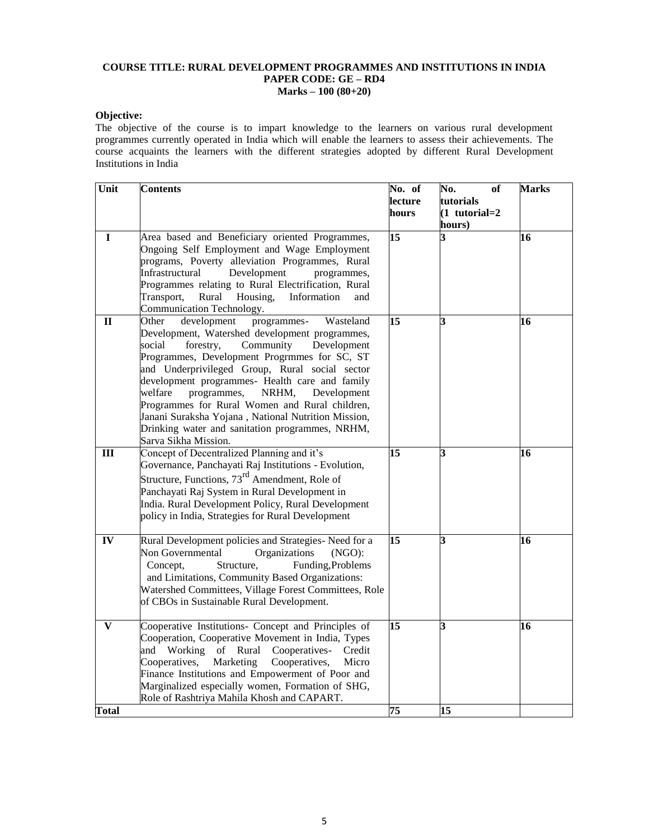#### **COURSE TITLE: RURAL DEVELOPMENT PROGRAMMES AND INSTITUTIONS IN INDIA PAPER CODE: GE – RD4 Marks – 100 (80+20)**

#### **Objective:**

The objective of the course is to impart knowledge to the learners on various rural development programmes currently operated in India which will enable the learners to assess their achievements. The course acquaints the learners with the different strategies adopted by different Rural Development Institutions in India

| Unit         | <b>Contents</b>                                                                                                                                                                                                                                                                                                                                                                                                                                                                                                                                 | No. of<br>lecture<br>hours | No.<br><b>of</b><br>tutorials<br>$(1$ tutorial=2<br>hours) | <b>Marks</b> |
|--------------|-------------------------------------------------------------------------------------------------------------------------------------------------------------------------------------------------------------------------------------------------------------------------------------------------------------------------------------------------------------------------------------------------------------------------------------------------------------------------------------------------------------------------------------------------|----------------------------|------------------------------------------------------------|--------------|
| L            | Area based and Beneficiary oriented Programmes,<br>Ongoing Self Employment and Wage Employment<br>programs, Poverty alleviation Programmes, Rural<br>Infrastructural<br>Development<br>programmes.<br>Programmes relating to Rural Electrification, Rural<br>Housing,<br>Information<br>Transport,<br>Rural<br>and<br>Communication Technology.                                                                                                                                                                                                 | $\overline{15}$            | 3                                                          | 16           |
| $\mathbf{I}$ | development<br>Other<br>programmes-<br>Wasteland<br>Development, Watershed development programmes,<br>Community<br>social<br>forestry,<br>Development<br>Programmes, Development Progrmmes for SC, ST<br>and Underprivileged Group, Rural social sector<br>development programmes- Health care and family<br>welfare<br>programmes,<br>NRHM,<br>Development<br>Programmes for Rural Women and Rural children,<br>Janani Suraksha Yojana, National Nutrition Mission,<br>Drinking water and sanitation programmes, NRHM,<br>Sarva Sikha Mission. | 15                         | 3                                                          | 16           |
| Ш            | Concept of Decentralized Planning and it's<br>Governance, Panchayati Raj Institutions - Evolution,<br>Structure, Functions, 73 <sup>rd</sup> Amendment, Role of<br>Panchayati Raj System in Rural Development in<br>India. Rural Development Policy, Rural Development<br>policy in India, Strategies for Rural Development                                                                                                                                                                                                                     | 15                         | 3                                                          | 16           |
| IV           | Rural Development policies and Strategies-Need for a<br>Non Governmental<br>Organizations<br>(NGO):<br>Concept,<br>Structure,<br>Funding, Problems<br>and Limitations, Community Based Organizations:<br>Watershed Committees, Village Forest Committees, Role<br>of CBOs in Sustainable Rural Development.                                                                                                                                                                                                                                     | 15                         | 3                                                          | 16           |
| V            | Cooperative Institutions- Concept and Principles of<br>Cooperation, Cooperative Movement in India, Types<br>and Working<br>of Rural<br>Cooperatives-<br>Credit<br>Cooperatives,<br>Marketing<br>Cooperatives,<br>Micro<br>Finance Institutions and Empowerment of Poor and<br>Marginalized especially women, Formation of SHG,<br>Role of Rashtriya Mahila Khosh and CAPART.                                                                                                                                                                    | 15                         | 3                                                          | 16           |
| <b>Total</b> |                                                                                                                                                                                                                                                                                                                                                                                                                                                                                                                                                 | 75                         | $\overline{15}$                                            |              |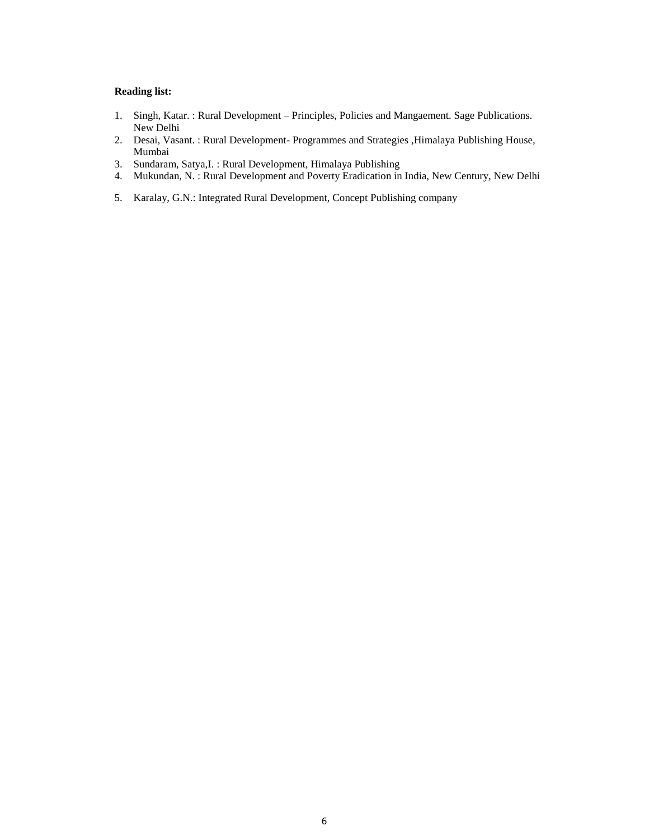- 1. Singh, Katar. : Rural Development Principles, Policies and Mangaement. Sage Publications. New Delhi
- 2. Desai, Vasant. : Rural Development- Programmes and Strategies ,Himalaya Publishing House, Mumbai
- 3. Sundaram, Satya,I. : Rural Development, Himalaya Publishing
- 4. Mukundan, N. : Rural Development and Poverty Eradication in India, New Century, New Delhi
- 5. Karalay, G.N.: Integrated Rural Development, Concept Publishing company